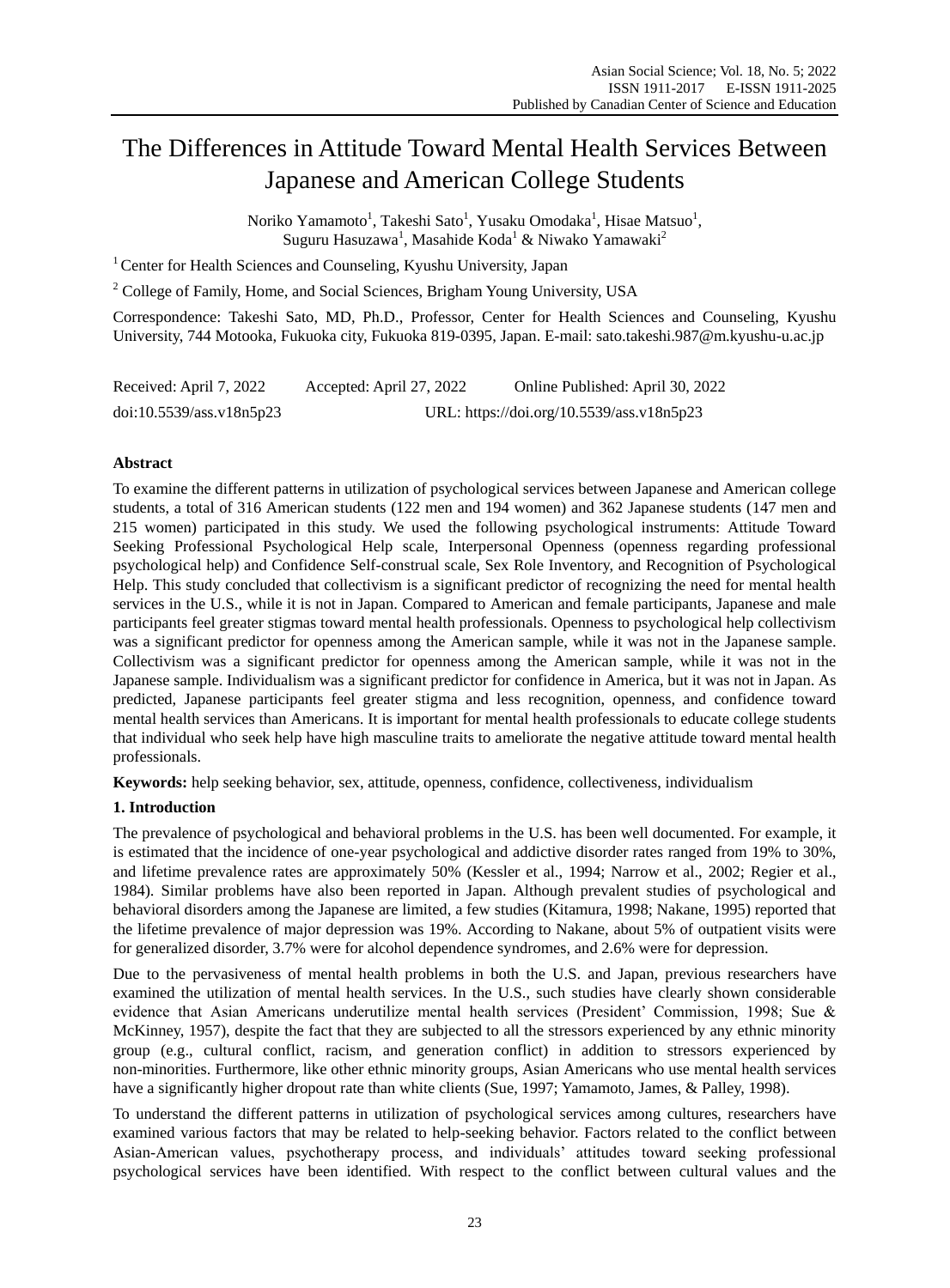# The Differences in Attitude Toward Mental Health Services Between Japanese and American College Students

Noriko Yamamoto<sup>1</sup>, Takeshi Sato<sup>1</sup>, Yusaku Omodaka<sup>1</sup>, Hisae Matsuo<sup>1</sup>, Suguru Hasuzawa<sup>1</sup>, Masahide Koda<sup>1</sup> & Niwako Yamawaki<sup>2</sup>

<sup>1</sup> Center for Health Sciences and Counseling, Kyushu University, Japan

<sup>2</sup> College of Family, Home, and Social Sciences, Brigham Young University, USA

Correspondence: Takeshi Sato, MD, Ph.D., Professor, Center for Health Sciences and Counseling, Kyushu University, 744 Motooka, Fukuoka city, Fukuoka 819-0395, Japan. E-mail: [sato.takeshi.987@m.kyushu-u.ac.jp](mailto:sato.takeshi.987@m.kyushu-u.ac.jp)

| Received: April 7, 2022  | Accepted: April 27, 2022                  | Online Published: April 30, 2022 |
|--------------------------|-------------------------------------------|----------------------------------|
| doi:10.5539/ass.v18n5p23 | URL: https://doi.org/10.5539/ass.v18n5p23 |                                  |

# **Abstract**

To examine the different patterns in utilization of psychological services between Japanese and American college students, a total of 316 American students (122 men and 194 women) and 362 Japanese students (147 men and 215 women) participated in this study. We used the following psychological instruments: Attitude Toward Seeking Professional Psychological Help scale, Interpersonal Openness (openness regarding professional psychological help) and Confidence Self-construal scale, Sex Role Inventory, and Recognition of Psychological Help. This study concluded that collectivism is a significant predictor of recognizing the need for mental health services in the U.S., while it is not in Japan. Compared to American and female participants, Japanese and male participants feel greater stigmas toward mental health professionals. Openness to psychological help collectivism was a significant predictor for openness among the American sample, while it was not in the Japanese sample. Collectivism was a significant predictor for openness among the American sample, while it was not in the Japanese sample. Individualism was a significant predictor for confidence in America, but it was not in Japan. As predicted, Japanese participants feel greater stigma and less recognition, openness, and confidence toward mental health services than Americans. It is important for mental health professionals to educate college students that individual who seek help have high masculine traits to ameliorate the negative attitude toward mental health professionals.

**Keywords:** help seeking behavior, sex, attitude, openness, confidence, collectiveness, individualism

# **1. Introduction**

The prevalence of psychological and behavioral problems in the U.S. has been well documented. For example, it is estimated that the incidence of one-year psychological and addictive disorder rates ranged from 19% to 30%, and lifetime prevalence rates are approximately 50% (Kessler et al., 1994; Narrow et al., 2002; Regier et al., 1984). Similar problems have also been reported in Japan. Although prevalent studies of psychological and behavioral disorders among the Japanese are limited, a few studies (Kitamura, 1998; Nakane, 1995) reported that the lifetime prevalence of major depression was 19%. According to Nakane, about 5% of outpatient visits were for generalized disorder, 3.7% were for alcohol dependence syndromes, and 2.6% were for depression.

Due to the pervasiveness of mental health problems in both the U.S. and Japan, previous researchers have examined the utilization of mental health services. In the U.S., such studies have clearly shown considerable evidence that Asian Americans underutilize mental health services (President' Commission, 1998; Sue & McKinney, 1957), despite the fact that they are subjected to all the stressors experienced by any ethnic minority group (e.g., cultural conflict, racism, and generation conflict) in addition to stressors experienced by non-minorities. Furthermore, like other ethnic minority groups, Asian Americans who use mental health services have a significantly higher dropout rate than white clients (Sue, 1997; Yamamoto, James, & Palley, 1998).

To understand the different patterns in utilization of psychological services among cultures, researchers have examined various factors that may be related to help-seeking behavior. Factors related to the conflict between Asian-American values, psychotherapy process, and individuals' attitudes toward seeking professional psychological services have been identified. With respect to the conflict between cultural values and the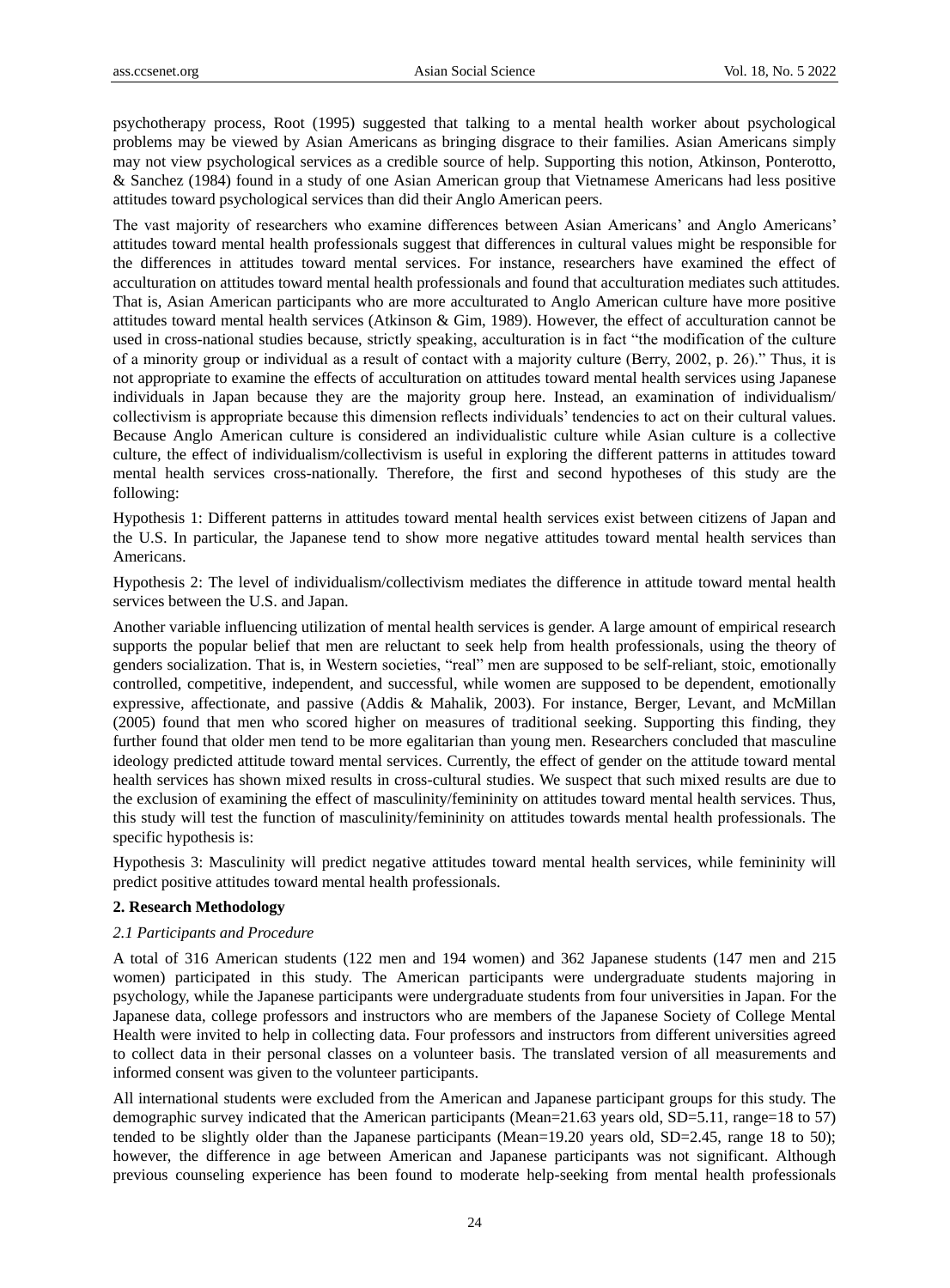psychotherapy process, Root (1995) suggested that talking to a mental health worker about psychological problems may be viewed by Asian Americans as bringing disgrace to their families. Asian Americans simply may not view psychological services as a credible source of help. Supporting this notion, Atkinson, Ponterotto, & Sanchez (1984) found in a study of one Asian American group that Vietnamese Americans had less positive attitudes toward psychological services than did their Anglo American peers.

The vast majority of researchers who examine differences between Asian Americans' and Anglo Americans' attitudes toward mental health professionals suggest that differences in cultural values might be responsible for the differences in attitudes toward mental services. For instance, researchers have examined the effect of acculturation on attitudes toward mental health professionals and found that acculturation mediates such attitudes. That is, Asian American participants who are more acculturated to Anglo American culture have more positive attitudes toward mental health services (Atkinson & Gim, 1989). However, the effect of acculturation cannot be used in cross-national studies because, strictly speaking, acculturation is in fact "the modification of the culture of a minority group or individual as a result of contact with a majority culture (Berry, 2002, p. 26)." Thus, it is not appropriate to examine the effects of acculturation on attitudes toward mental health services using Japanese individuals in Japan because they are the majority group here. Instead, an examination of individualism/ collectivism is appropriate because this dimension reflects individuals' tendencies to act on their cultural values. Because Anglo American culture is considered an individualistic culture while Asian culture is a collective culture, the effect of individualism/collectivism is useful in exploring the different patterns in attitudes toward mental health services cross-nationally. Therefore, the first and second hypotheses of this study are the following:

Hypothesis 1: Different patterns in attitudes toward mental health services exist between citizens of Japan and the U.S. In particular, the Japanese tend to show more negative attitudes toward mental health services than Americans.

Hypothesis 2: The level of individualism/collectivism mediates the difference in attitude toward mental health services between the U.S. and Japan.

Another variable influencing utilization of mental health services is gender. A large amount of empirical research supports the popular belief that men are reluctant to seek help from health professionals, using the theory of genders socialization. That is, in Western societies, "real" men are supposed to be self-reliant, stoic, emotionally controlled, competitive, independent, and successful, while women are supposed to be dependent, emotionally expressive, affectionate, and passive (Addis & Mahalik, 2003). For instance, Berger, Levant, and McMillan (2005) found that men who scored higher on measures of traditional seeking. Supporting this finding, they further found that older men tend to be more egalitarian than young men. Researchers concluded that masculine ideology predicted attitude toward mental services. Currently, the effect of gender on the attitude toward mental health services has shown mixed results in cross-cultural studies. We suspect that such mixed results are due to the exclusion of examining the effect of masculinity/femininity on attitudes toward mental health services. Thus, this study will test the function of masculinity/femininity on attitudes towards mental health professionals. The specific hypothesis is:

Hypothesis 3: Masculinity will predict negative attitudes toward mental health services, while femininity will predict positive attitudes toward mental health professionals.

## **2. Research Methodology**

#### *2.1 Participants and Procedure*

A total of 316 American students (122 men and 194 women) and 362 Japanese students (147 men and 215 women) participated in this study. The American participants were undergraduate students majoring in psychology, while the Japanese participants were undergraduate students from four universities in Japan. For the Japanese data, college professors and instructors who are members of the Japanese Society of College Mental Health were invited to help in collecting data. Four professors and instructors from different universities agreed to collect data in their personal classes on a volunteer basis. The translated version of all measurements and informed consent was given to the volunteer participants.

All international students were excluded from the American and Japanese participant groups for this study. The demographic survey indicated that the American participants (Mean=21.63 years old, SD=5.11, range=18 to 57) tended to be slightly older than the Japanese participants (Mean=19.20 years old, SD=2.45, range 18 to 50); however, the difference in age between American and Japanese participants was not significant. Although previous counseling experience has been found to moderate help-seeking from mental health professionals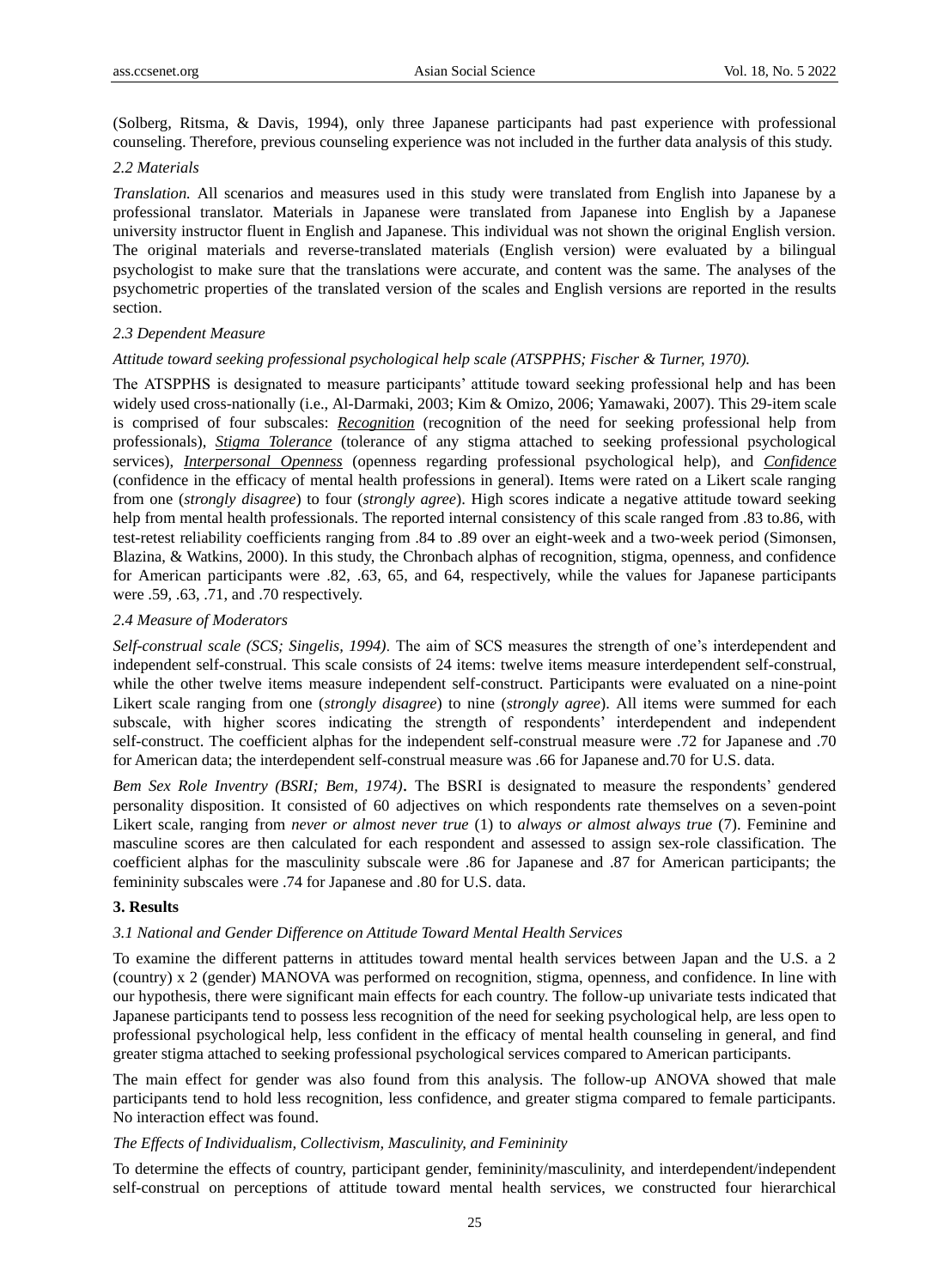(Solberg, Ritsma, & Davis, 1994), only three Japanese participants had past experience with professional counseling. Therefore, previous counseling experience was not included in the further data analysis of this study.

### *2.2 Materials*

*Translation.* All scenarios and measures used in this study were translated from English into Japanese by a professional translator. Materials in Japanese were translated from Japanese into English by a Japanese university instructor fluent in English and Japanese. This individual was not shown the original English version. The original materials and reverse-translated materials (English version) were evaluated by a bilingual psychologist to make sure that the translations were accurate, and content was the same. The analyses of the psychometric properties of the translated version of the scales and English versions are reported in the results section.

# *2.3 Dependent Measure*

#### *Attitude toward seeking professional psychological help scale (ATSPPHS; Fischer & Turner, 1970).*

The ATSPPHS is designated to measure participants' attitude toward seeking professional help and has been widely used cross-nationally (i.e., Al-Darmaki, 2003; Kim & Omizo, 2006; Yamawaki, 2007). This 29-item scale is comprised of four subscales: *Recognition* (recognition of the need for seeking professional help from professionals), *Stigma Tolerance* (tolerance of any stigma attached to seeking professional psychological services), *Interpersonal Openness* (openness regarding professional psychological help), and *Confidence* (confidence in the efficacy of mental health professions in general). Items were rated on a Likert scale ranging from one (*strongly disagree*) to four (*strongly agree*). High scores indicate a negative attitude toward seeking help from mental health professionals. The reported internal consistency of this scale ranged from .83 to.86, with test-retest reliability coefficients ranging from .84 to .89 over an eight-week and a two-week period (Simonsen, Blazina, & Watkins, 2000). In this study, the Chronbach alphas of recognition, stigma, openness, and confidence for American participants were .82, .63, 65, and 64, respectively, while the values for Japanese participants were .59, .63, .71, and .70 respectively.

#### *2.4 Measure of Moderators*

*Self-construal scale (SCS; Singelis, 1994)*. The aim of SCS measures the strength of one's interdependent and independent self-construal. This scale consists of 24 items: twelve items measure interdependent self-construal, while the other twelve items measure independent self-construct. Participants were evaluated on a nine-point Likert scale ranging from one (*strongly disagree*) to nine (*strongly agree*). All items were summed for each subscale, with higher scores indicating the strength of respondents' interdependent and independent self-construct. The coefficient alphas for the independent self-construal measure were .72 for Japanese and .70 for American data; the interdependent self-construal measure was .66 for Japanese and.70 for U.S. data.

*Bem Sex Role Inventry (BSRI; Bem, 1974)*. The BSRI is designated to measure the respondents' gendered personality disposition. It consisted of 60 adjectives on which respondents rate themselves on a seven-point Likert scale, ranging from *never or almost never true* (1) to *always or almost always true* (7). Feminine and masculine scores are then calculated for each respondent and assessed to assign sex-role classification. The coefficient alphas for the masculinity subscale were .86 for Japanese and .87 for American participants; the femininity subscales were .74 for Japanese and .80 for U.S. data.

# **3. Results**

## *3.1 National and Gender Difference on Attitude Toward Mental Health Services*

To examine the different patterns in attitudes toward mental health services between Japan and the U.S. a 2 (country) x 2 (gender) MANOVA was performed on recognition, stigma, openness, and confidence. In line with our hypothesis, there were significant main effects for each country. The follow-up univariate tests indicated that Japanese participants tend to possess less recognition of the need for seeking psychological help, are less open to professional psychological help, less confident in the efficacy of mental health counseling in general, and find greater stigma attached to seeking professional psychological services compared to American participants.

The main effect for gender was also found from this analysis. The follow-up ANOVA showed that male participants tend to hold less recognition, less confidence, and greater stigma compared to female participants. No interaction effect was found.

#### *The Effects of Individualism, Collectivism, Masculinity, and Femininity*

To determine the effects of country, participant gender, femininity/masculinity, and interdependent/independent self-construal on perceptions of attitude toward mental health services, we constructed four hierarchical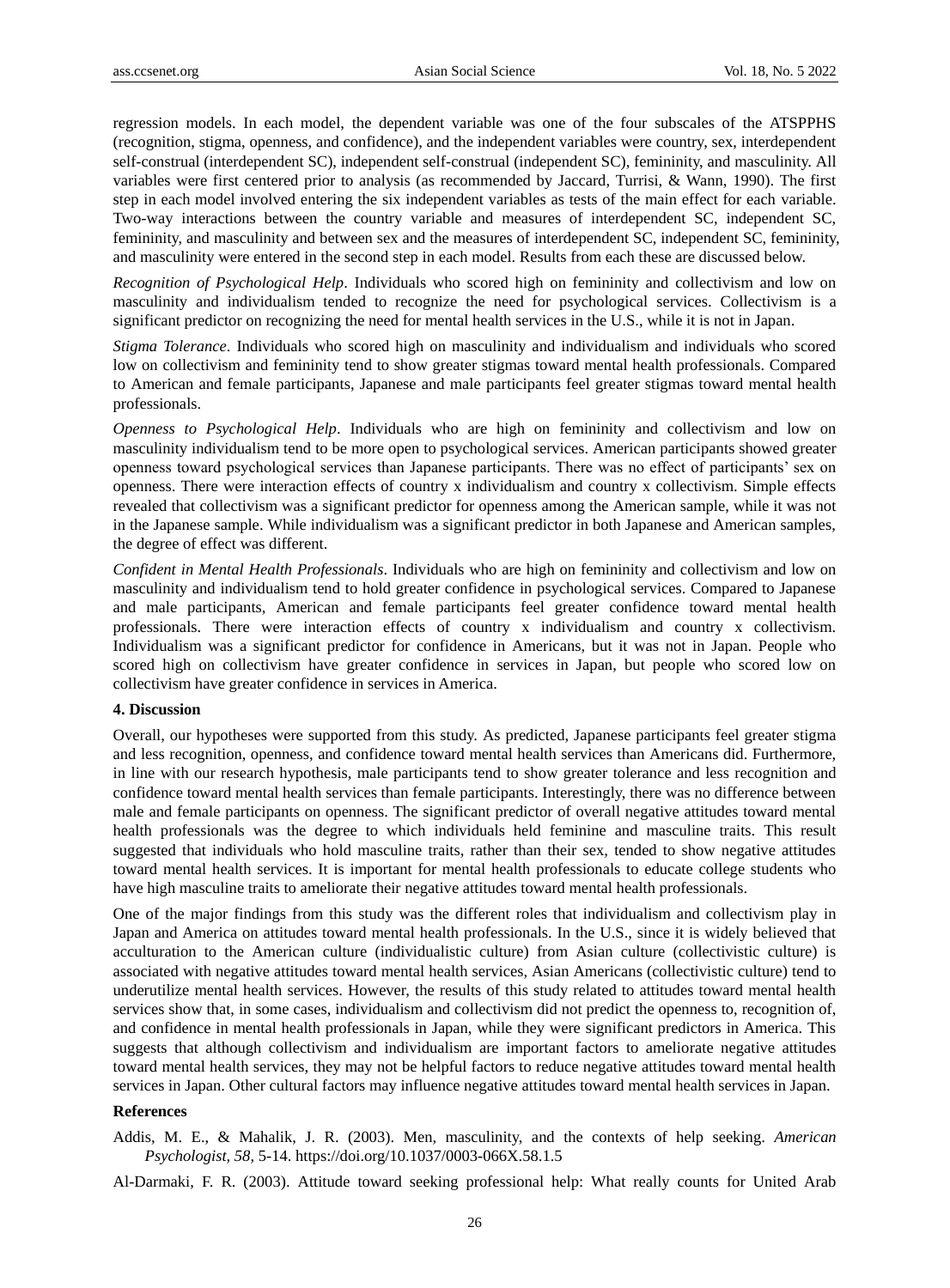regression models. In each model, the dependent variable was one of the four subscales of the ATSPPHS (recognition, stigma, openness, and confidence), and the independent variables were country, sex, interdependent self-construal (interdependent SC), independent self-construal (independent SC), femininity, and masculinity. All variables were first centered prior to analysis (as recommended by Jaccard, Turrisi, & Wann, 1990). The first step in each model involved entering the six independent variables as tests of the main effect for each variable. Two-way interactions between the country variable and measures of interdependent SC, independent SC, femininity, and masculinity and between sex and the measures of interdependent SC, independent SC, femininity, and masculinity were entered in the second step in each model. Results from each these are discussed below.

*Recognition of Psychological Help*. Individuals who scored high on femininity and collectivism and low on masculinity and individualism tended to recognize the need for psychological services. Collectivism is a significant predictor on recognizing the need for mental health services in the U.S., while it is not in Japan.

*Stigma Tolerance*. Individuals who scored high on masculinity and individualism and individuals who scored low on collectivism and femininity tend to show greater stigmas toward mental health professionals. Compared to American and female participants, Japanese and male participants feel greater stigmas toward mental health professionals.

*Openness to Psychological Help*. Individuals who are high on femininity and collectivism and low on masculinity individualism tend to be more open to psychological services. American participants showed greater openness toward psychological services than Japanese participants. There was no effect of participants' sex on openness. There were interaction effects of country x individualism and country x collectivism. Simple effects revealed that collectivism was a significant predictor for openness among the American sample, while it was not in the Japanese sample. While individualism was a significant predictor in both Japanese and American samples, the degree of effect was different.

*Confident in Mental Health Professionals*. Individuals who are high on femininity and collectivism and low on masculinity and individualism tend to hold greater confidence in psychological services. Compared to Japanese and male participants, American and female participants feel greater confidence toward mental health professionals. There were interaction effects of country x individualism and country x collectivism. Individualism was a significant predictor for confidence in Americans, but it was not in Japan. People who scored high on collectivism have greater confidence in services in Japan, but people who scored low on collectivism have greater confidence in services in America.

## **4. Discussion**

Overall, our hypotheses were supported from this study. As predicted, Japanese participants feel greater stigma and less recognition, openness, and confidence toward mental health services than Americans did. Furthermore, in line with our research hypothesis, male participants tend to show greater tolerance and less recognition and confidence toward mental health services than female participants. Interestingly, there was no difference between male and female participants on openness. The significant predictor of overall negative attitudes toward mental health professionals was the degree to which individuals held feminine and masculine traits. This result suggested that individuals who hold masculine traits, rather than their sex, tended to show negative attitudes toward mental health services. It is important for mental health professionals to educate college students who have high masculine traits to ameliorate their negative attitudes toward mental health professionals.

One of the major findings from this study was the different roles that individualism and collectivism play in Japan and America on attitudes toward mental health professionals. In the U.S., since it is widely believed that acculturation to the American culture (individualistic culture) from Asian culture (collectivistic culture) is associated with negative attitudes toward mental health services, Asian Americans (collectivistic culture) tend to underutilize mental health services. However, the results of this study related to attitudes toward mental health services show that, in some cases, individualism and collectivism did not predict the openness to, recognition of, and confidence in mental health professionals in Japan, while they were significant predictors in America. This suggests that although collectivism and individualism are important factors to ameliorate negative attitudes toward mental health services, they may not be helpful factors to reduce negative attitudes toward mental health services in Japan. Other cultural factors may influence negative attitudes toward mental health services in Japan.

#### **References**

Addis, M. E., & Mahalik, J. R. (2003). Men, masculinity, and the contexts of help seeking. *American Psychologist, 58*, 5-14. https://doi.org/10.1037/0003-066X.58.1.5

Al-Darmaki, F. R. (2003). Attitude toward seeking professional help: What really counts for United Arab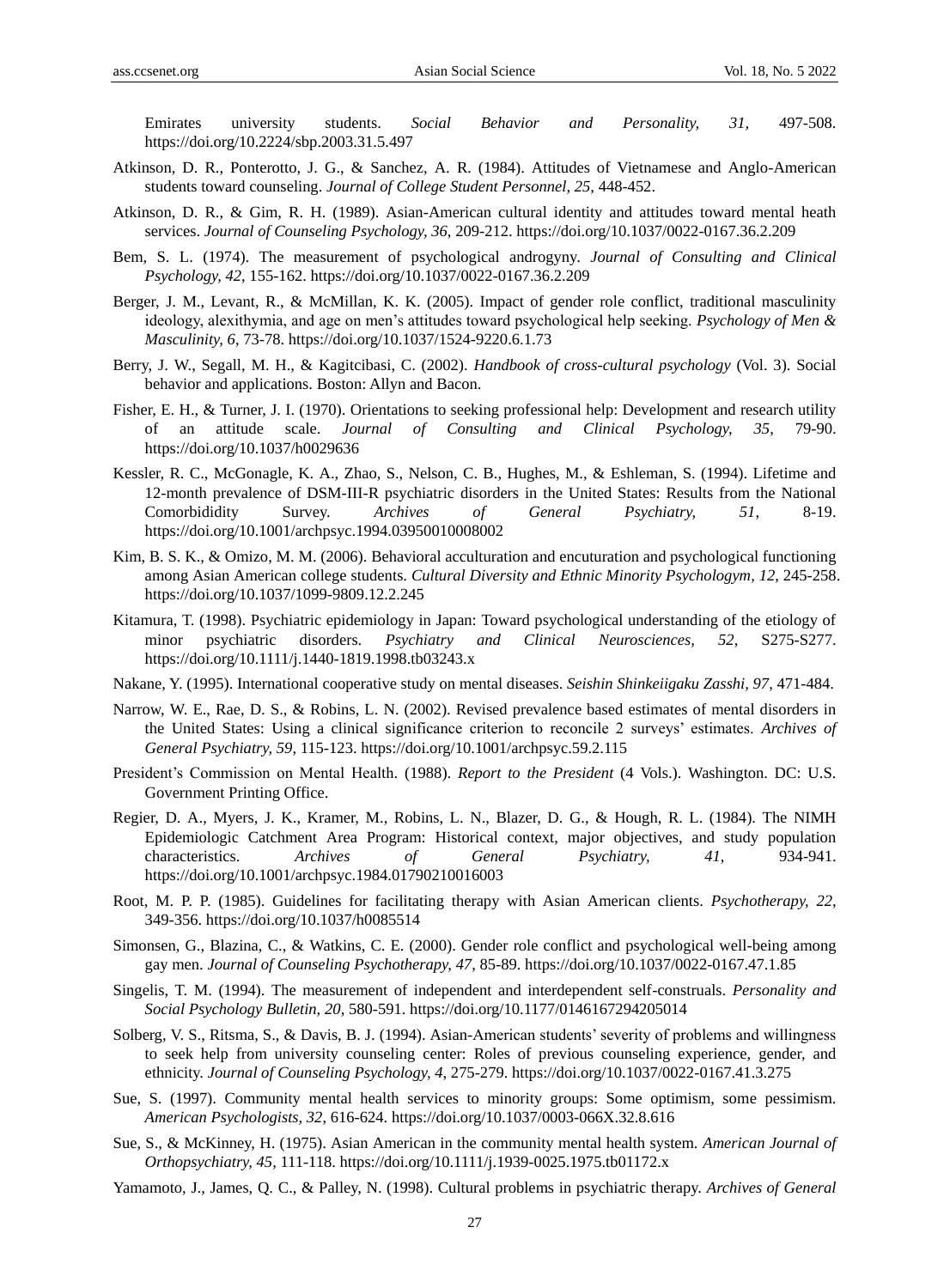Emirates university students. *Social Behavior and Personality, 31,* 497-508. https://doi.org/10.2224/sbp.2003.31.5.497

- Atkinson, D. R., Ponterotto, J. G., & Sanchez, A. R. (1984). Attitudes of Vietnamese and Anglo-American students toward counseling. *Journal of College Student Personnel, 25,* 448-452.
- Atkinson, D. R., & Gim, R. H. (1989). Asian-American cultural identity and attitudes toward mental heath services. *Journal of Counseling Psychology, 36*, 209-212. https://doi.org/10.1037/0022-0167.36.2.209
- Bem, S. L. (1974). The measurement of psychological androgyny. *Journal of Consulting and Clinical Psychology, 42*, 155-162. https://doi.org/10.1037/0022-0167.36.2.209
- Berger, J. M., Levant, R., & McMillan, K. K. (2005). Impact of gender role conflict, traditional masculinity ideology, alexithymia, and age on men's attitudes toward psychological help seeking. *Psychology of Men & Masculinity, 6*, 73-78. https://doi.org/10.1037/1524-9220.6.1.73
- Berry, J. W., Segall, M. H., & Kagitcibasi, C. (2002). *Handbook of cross-cultural psychology* (Vol. 3). Social behavior and applications. Boston: Allyn and Bacon.
- Fisher, E. H., & Turner, J. I. (1970). Orientations to seeking professional help: Development and research utility of an attitude scale. *Journal of Consulting and Clinical Psychology, 35*, 79-90. https://doi.org/10.1037/h0029636
- Kessler, R. C., McGonagle, K. A., Zhao, S., Nelson, C. B., Hughes, M., & Eshleman, S. (1994). Lifetime and 12-month prevalence of DSM-III-R psychiatric disorders in the United States: Results from the National Comorbididity Survey. *Archives of General Psychiatry, 51*, 8-19. https://doi.org/10.1001/archpsyc.1994.03950010008002
- Kim, B. S. K., & Omizo, M. M. (2006). Behavioral acculturation and encuturation and psychological functioning among Asian American college students. *Cultural Diversity and Ethnic Minority Psychologym, 12*, 245-258. https://doi.org/10.1037/1099-9809.12.2.245
- Kitamura, T. (1998). Psychiatric epidemiology in Japan: Toward psychological understanding of the etiology of minor psychiatric disorders. *Psychiatry and Clinical Neurosciences, 52*, S275-S277. https://doi.org/10.1111/j.1440-1819.1998.tb03243.x
- Nakane, Y. (1995). International cooperative study on mental diseases. *Seishin Shinkeiigaku Zasshi, 97*, 471-484.
- Narrow, W. E., Rae, D. S., & Robins, L. N. (2002). Revised prevalence based estimates of mental disorders in the United States: Using a clinical significance criterion to reconcile 2 surveys' estimates. *Archives of General Psychiatry, 59*, 115-123. https://doi.org/10.1001/archpsyc.59.2.115
- President's Commission on Mental Health. (1988). *Report to the President* (4 Vols.). Washington. DC: U.S. Government Printing Office.
- Regier, D. A., Myers, J. K., Kramer, M., Robins, L. N., Blazer, D. G., & Hough, R. L. (1984). The NIMH Epidemiologic Catchment Area Program: Historical context, major objectives, and study population characteristics. *Archives of General Psychiatry, 41*, 934-941. https://doi.org/10.1001/archpsyc.1984.01790210016003
- Root, M. P. P. (1985). Guidelines for facilitating therapy with Asian American clients. *Psychotherapy, 22*, 349-356. https://doi.org/10.1037/h0085514
- Simonsen, G., Blazina, C., & Watkins, C. E. (2000). Gender role conflict and psychological well-being among gay men. *Journal of Counseling Psychotherapy, 47*, 85-89. https://doi.org/10.1037/0022-0167.47.1.85
- Singelis, T. M. (1994). The measurement of independent and interdependent self-construals. *Personality and Social Psychology Bulletin, 20*, 580-591. https://doi.org/10.1177/0146167294205014
- Solberg, V. S., Ritsma, S., & Davis, B. J. (1994). Asian-American students' severity of problems and willingness to seek help from university counseling center: Roles of previous counseling experience, gender, and ethnicity. *Journal of Counseling Psychology, 4*, 275-279. https://doi.org/10.1037/0022-0167.41.3.275
- Sue, S. (1997). Community mental health services to minority groups: Some optimism, some pessimism. *American Psychologists, 32*, 616-624. https://doi.org/10.1037/0003-066X.32.8.616
- Sue, S., & McKinney, H. (1975). Asian American in the community mental health system. *American Journal of Orthopsychiatry, 45*, 111-118. https://doi.org/10.1111/j.1939-0025.1975.tb01172.x
- Yamamoto, J., James, Q. C., & Palley, N. (1998). Cultural problems in psychiatric therapy. *Archives of General*